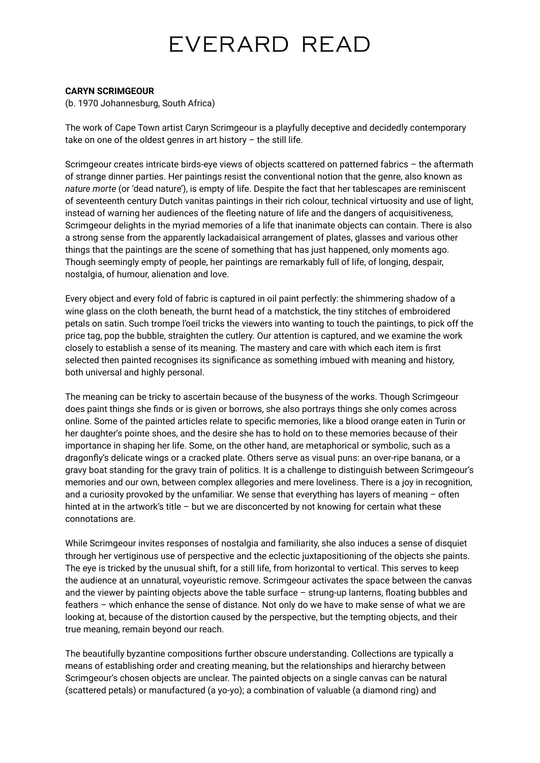## EVERARD READ

#### **CARYN SCRIMGEOUR**

(b. 1970 Johannesburg, South Africa)

The work of Cape Town artist Caryn Scrimgeour is a playfully deceptive and decidedly contemporary take on one of the oldest genres in art history  $-$  the still life.

Scrimgeour creates intricate birds-eye views of objects scattered on patterned fabrics – the aftermath of strange dinner parties. Her paintings resist the conventional notion that the genre, also known as *nature morte* (or 'dead nature'), is empty of life. Despite the fact that her tablescapes are reminiscent of seventeenth century Dutch vanitas paintings in their rich colour, technical virtuosity and use of light, instead of warning her audiences of the fleeting nature of life and the dangers of acquisitiveness, Scrimgeour delights in the myriad memories of a life that inanimate objects can contain. There is also a strong sense from the apparently lackadaisical arrangement of plates, glasses and various other things that the paintings are the scene of something that has just happened, only moments ago. Though seemingly empty of people, her paintings are remarkably full of life, of longing, despair, nostalgia, of humour, alienation and love.

Every object and every fold of fabric is captured in oil paint perfectly: the shimmering shadow of a wine glass on the cloth beneath, the burnt head of a matchstick, the tiny stitches of embroidered petals on satin. Such trompe l'oeil tricks the viewers into wanting to touch the paintings, to pick off the price tag, pop the bubble, straighten the cutlery. Our attention is captured, and we examine the work closely to establish a sense of its meaning. The mastery and care with which each item is first selected then painted recognises its significance as something imbued with meaning and history, both universal and highly personal.

The meaning can be tricky to ascertain because of the busyness of the works. Though Scrimgeour does paint things she finds or is given or borrows, she also portrays things she only comes across online. Some of the painted articles relate to specific memories, like a blood orange eaten in Turin or her daughter's pointe shoes, and the desire she has to hold on to these memories because of their importance in shaping her life. Some, on the other hand, are metaphorical or symbolic, such as a dragonfly's delicate wings or a cracked plate. Others serve as visual puns: an over-ripe banana, or a gravy boat standing for the gravy train of politics. It is a challenge to distinguish between Scrimgeour's memories and our own, between complex allegories and mere loveliness. There is a joy in recognition, and a curiosity provoked by the unfamiliar. We sense that everything has layers of meaning – often hinted at in the artwork's title – but we are disconcerted by not knowing for certain what these connotations are.

While Scrimgeour invites responses of nostalgia and familiarity, she also induces a sense of disquiet through her vertiginous use of perspective and the eclectic juxtapositioning of the objects she paints. The eye is tricked by the unusual shift, for a still life, from horizontal to vertical. This serves to keep the audience at an unnatural, voyeuristic remove. Scrimgeour activates the space between the canvas and the viewer by painting objects above the table surface – strung-up lanterns, floating bubbles and feathers – which enhance the sense of distance. Not only do we have to make sense of what we are looking at, because of the distortion caused by the perspective, but the tempting objects, and their true meaning, remain beyond our reach.

The beautifully byzantine compositions further obscure understanding. Collections are typically a means of establishing order and creating meaning, but the relationships and hierarchy between Scrimgeour's chosen objects are unclear. The painted objects on a single canvas can be natural (scattered petals) or manufactured (a yo-yo); a combination of valuable (a diamond ring) and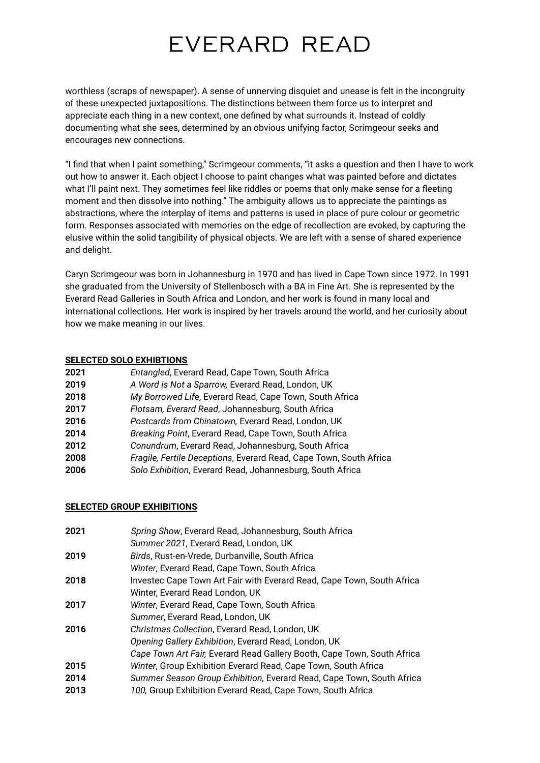## EVERARD READ

worthless (scraps of newspaper). A sense of unnerving disquiet and unease is felt in the incongruity of these unexpected juxtapositions. The distinctions between them force us to interpret and appreciate each thing in a new context, one defined by what surrounds it. Instead of coldly documenting what she sees, determined by an obvious unifying factor, Scrimgeour seeks and encourages new connections.

"I find that when I paint something," Scrimgeour comments, "it asks a question and then I have to work out how to answer it. Each object I choose to paint changes what was painted before and dictates what I'll paint next. They sometimes feel like riddles or poems that only make sense for a fleeting moment and then dissolve into nothing." The ambiguity allows us to appreciate the paintings as abstractions, where the interplay of items and patterns is used in place of pure colour or geometric form. Responses associated with memories on the edge of recollection are evoked, by capturing the elusive within the solid tangibility of physical objects. We are left with a sense of shared experience and delight.

Caryn Scrimgeour was born in Johannesburg in 1970 and has lived in Cape Town since 1972. In 1991 she graduated from the University of Stellenbosch with a BA in Fine Art. She is represented by the Everard Read Galleries in South Africa and London, and her work is found in many local and international collections. Her work is inspired by her travels around the world, and her curiosity about how we make meaning in our lives.

#### **SELECTED SOLO EXHIBTIONS**

| 2021 | Entangled, Everard Read, Cape Town, South Africa                   |
|------|--------------------------------------------------------------------|
| 2019 | A Word is Not a Sparrow, Everard Read, London, UK                  |
| 2018 | My Borrowed Life, Everard Read, Cape Town, South Africa            |
| 2017 | Flotsam, Everard Read, Johannesburg, South Africa                  |
| 2016 | Postcards from Chinatown, Everard Read, London, UK                 |
| 2014 | Breaking Point, Everard Read, Cape Town, South Africa              |
| 2012 | Conundrum, Everard Read, Johannesburg, South Africa                |
| 2008 | Fragile, Fertile Deceptions, Everard Read, Cape Town, South Africa |
| 2006 | Solo Exhibition, Everard Read, Johannesburg, South Africa          |

### **SELECTED GROUP EXHIBITIONS**

| 2021 | Spring Show, Everard Read, Johannesburg, South Africa                   |
|------|-------------------------------------------------------------------------|
|      | Summer 2021, Everard Read, London, UK                                   |
| 2019 | Birds, Rust-en-Vrede, Durbanville, South Africa                         |
|      | Winter, Everard Read, Cape Town, South Africa                           |
| 2018 | Investec Cape Town Art Fair with Everard Read, Cape Town, South Africa  |
|      | Winter, Everard Read London, UK                                         |
| 2017 | Winter, Everard Read, Cape Town, South Africa                           |
|      | Summer, Everard Read, London, UK                                        |
| 2016 | Christmas Collection, Everard Read, London, UK                          |
|      | Opening Gallery Exhibition, Everard Read, London, UK                    |
|      | Cape Town Art Fair, Everard Read Gallery Booth, Cape Town, South Africa |
| 2015 | Winter, Group Exhibition Everard Read, Cape Town, South Africa          |
| 2014 | Summer Season Group Exhibition, Everard Read, Cape Town, South Africa   |
| 2013 | 100, Group Exhibition Everard Read, Cape Town, South Africa             |